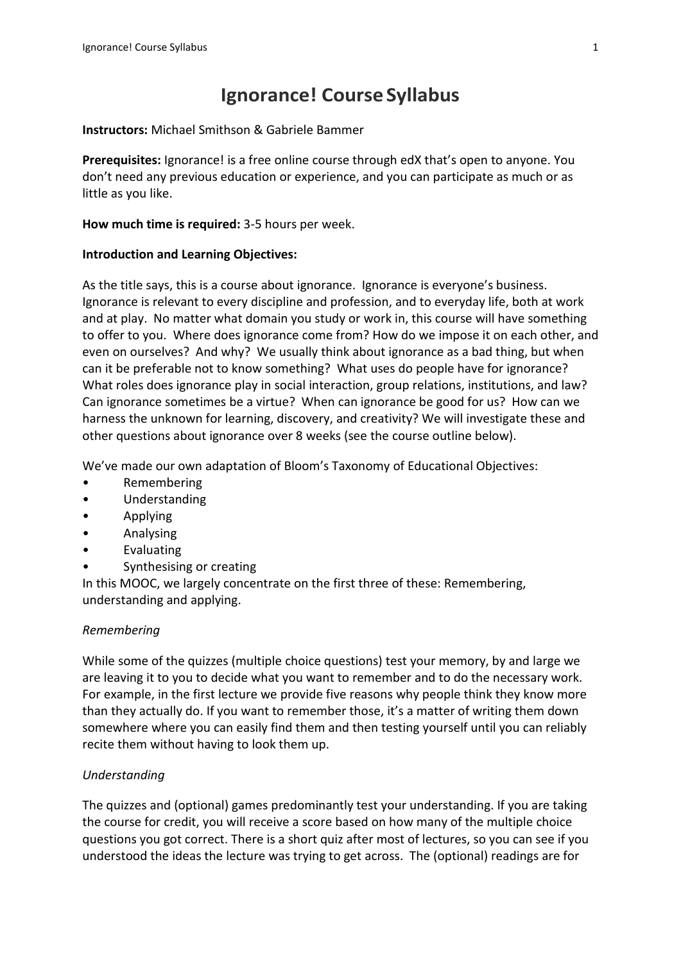# **Ignorance! Course Syllabus**

#### **Instructors:** Michael Smithson & Gabriele Bammer

**Prerequisites:** Ignorance! is a free online course through edX that's open to anyone. You don't need any previous education or experience, and you can participate as much or as little as you like.

#### **How much time is required:** 3-5 hours per week.

#### **Introduction and Learning Objectives:**

As the title says, this is a course about ignorance. Ignorance is everyone's business. Ignorance is relevant to every discipline and profession, and to everyday life, both at work and at play. No matter what domain you study or work in, this course will have something to offer to you. Where does ignorance come from? How do we impose it on each other, and even on ourselves? And why? We usually think about ignorance as a bad thing, but when can it be preferable not to know something? What uses do people have for ignorance? What roles does ignorance play in social interaction, group relations, institutions, and law? Can ignorance sometimes be a virtue? When can ignorance be good for us? How can we harness the unknown for learning, discovery, and creativity? We will investigate these and other questions about ignorance over 8 weeks (see the course outline below).

We've made our own adaptation of Bloom's Taxonomy of Educational Objectives:

- Remembering
- Understanding
- Applying
- Analysing
- **Evaluating**
- Synthesising or creating

In this MOOC, we largely concentrate on the first three of these: Remembering, understanding and applying.

#### *Remembering*

While some of the quizzes (multiple choice questions) test your memory, by and large we are leaving it to you to decide what you want to remember and to do the necessary work. For example, in the first lecture we provide five reasons why people think they know more than they actually do. If you want to remember those, it's a matter of writing them down somewhere where you can easily find them and then testing yourself until you can reliably recite them without having to look them up.

#### *Understanding*

The quizzes and (optional) games predominantly test your understanding. If you are taking the course for credit, you will receive a score based on how many of the multiple choice questions you got correct. There is a short quiz after most of lectures, so you can see if you understood the ideas the lecture was trying to get across. The (optional) readings are for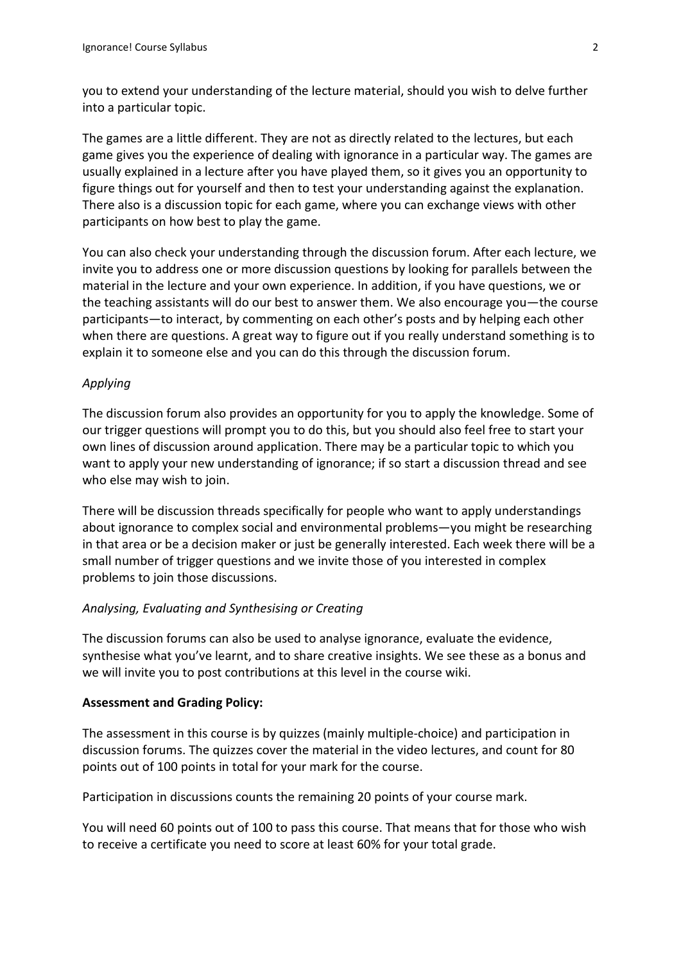you to extend your understanding of the lecture material, should you wish to delve further into a particular topic.

The games are a little different. They are not as directly related to the lectures, but each game gives you the experience of dealing with ignorance in a particular way. The games are usually explained in a lecture after you have played them, so it gives you an opportunity to figure things out for yourself and then to test your understanding against the explanation. There also is a discussion topic for each game, where you can exchange views with other participants on how best to play the game.

You can also check your understanding through the discussion forum. After each lecture, we invite you to address one or more discussion questions by looking for parallels between the material in the lecture and your own experience. In addition, if you have questions, we or the teaching assistants will do our best to answer them. We also encourage you—the course participants—to interact, by commenting on each other's posts and by helping each other when there are questions. A great way to figure out if you really understand something is to explain it to someone else and you can do this through the discussion forum.

#### *Applying*

The discussion forum also provides an opportunity for you to apply the knowledge. Some of our trigger questions will prompt you to do this, but you should also feel free to start your own lines of discussion around application. There may be a particular topic to which you want to apply your new understanding of ignorance; if so start a discussion thread and see who else may wish to join.

There will be discussion threads specifically for people who want to apply understandings about ignorance to complex social and environmental problems—you might be researching in that area or be a decision maker or just be generally interested. Each week there will be a small number of trigger questions and we invite those of you interested in complex problems to join those discussions.

#### *Analysing, Evaluating and Synthesising or Creating*

The discussion forums can also be used to analyse ignorance, evaluate the evidence, synthesise what you've learnt, and to share creative insights. We see these as a bonus and we will invite you to post contributions at this level in the course wiki.

#### **Assessment and Grading Policy:**

The assessment in this course is by quizzes (mainly multiple-choice) and participation in discussion forums. The quizzes cover the material in the video lectures, and count for 80 points out of 100 points in total for your mark for the course.

Participation in discussions counts the remaining 20 points of your course mark.

You will need 60 points out of 100 to pass this course. That means that for those who wish to receive a certificate you need to score at least 60% for your total grade.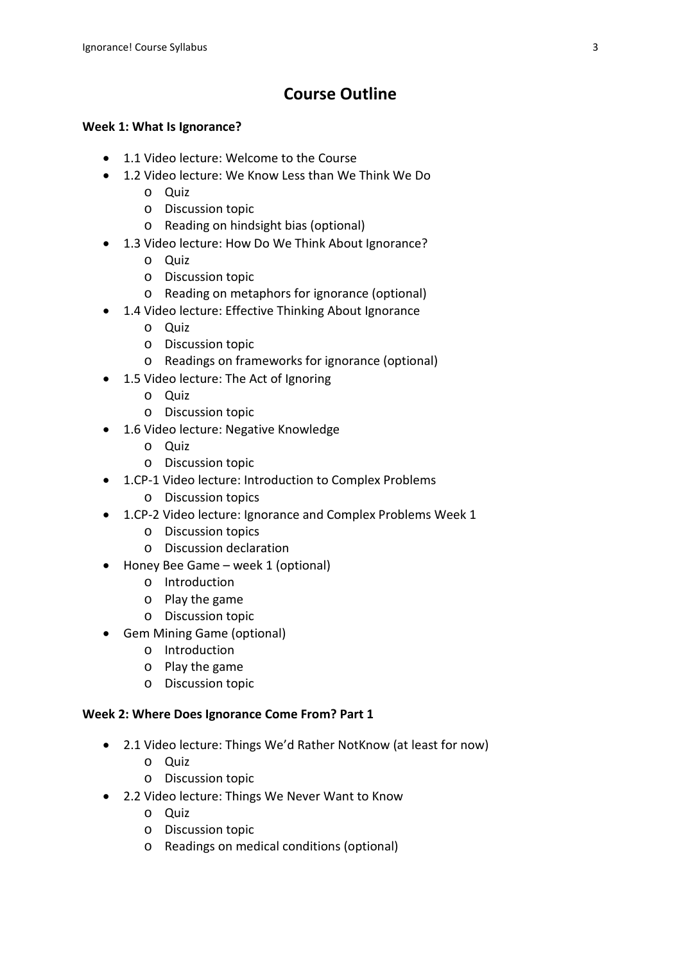## **Course Outline**

## **Week 1: What Is Ignorance?**

- 1.1 Video lecture: Welcome to the Course
- 1.2 Video lecture: We Know Less than We Think We Do
	- o Quiz
	- o Discussion topic
	- o Reading on hindsight bias (optional)
- 1.3 Video lecture: How Do We Think About Ignorance?
	- o Quiz
	- o Discussion topic
	- o Reading on metaphors for ignorance (optional)
- 1.4 Video lecture: Effective Thinking About Ignorance
	- o Quiz
	- o Discussion topic
	- o Readings on frameworks for ignorance (optional)
- 1.5 Video lecture: The Act of Ignoring
	- o Quiz
	- o Discussion topic
- 1.6 Video lecture: Negative Knowledge
	- o Quiz
	- o Discussion topic
- 1.CP-1 Video lecture: Introduction to Complex Problems
	- o Discussion topics
- 1.CP-2 Video lecture: Ignorance and Complex Problems Week 1
	- o Discussion topics
	- o Discussion declaration
- Honey Bee Game week 1 (optional)
	- o Introduction
	- o Play the game
	- o Discussion topic
- Gem Mining Game (optional)
	- o Introduction
	- o Play the game
	- o Discussion topic

## **Week 2: Where Does Ignorance Come From? Part 1**

- 2.1 Video lecture: Things We'd Rather NotKnow (at least for now)
	- o Quiz
	- o Discussion topic
- 2.2 Video lecture: Things We Never Want to Know
	- o Quiz
	- o Discussion topic
	- o Readings on medical conditions (optional)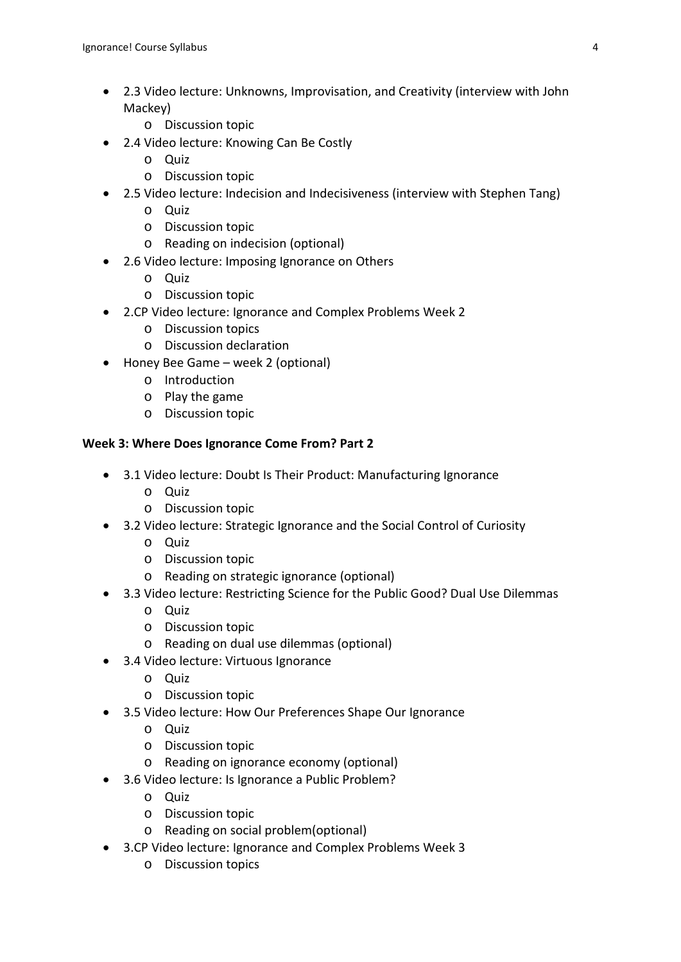- 2.3 Video lecture: Unknowns, Improvisation, and Creativity (interview with John Mackey)
	- o Discussion topic
- 2.4 Video lecture: Knowing Can Be Costly
	- o Quiz
	- o Discussion topic
- 2.5 Video lecture: Indecision and Indecisiveness (interview with Stephen Tang)
	- $O<sub>u</sub>$
	- o Discussion topic
	- o Reading on indecision (optional)
- 2.6 Video lecture: Imposing Ignorance on Others
	- o Quiz
	- o Discussion topic
- 2.CP Video lecture: Ignorance and Complex Problems Week 2
	- o Discussion topics
	- o Discussion declaration
- Honey Bee Game week 2 (optional)
	- o Introduction
	- o Play the game
	- o Discussion topic

#### **Week 3: Where Does Ignorance Come From? Part 2**

- 3.1 Video lecture: Doubt Is Their Product: Manufacturing Ignorance
	- o Quiz
	- o Discussion topic
- 3.2 Video lecture: Strategic Ignorance and the Social Control of Curiosity
	- o Quiz
	- o Discussion topic
	- o Reading on strategic ignorance (optional)
- 3.3 Video lecture: Restricting Science for the Public Good? Dual Use Dilemmas
	- o Quiz
	- o Discussion topic
	- o Reading on dual use dilemmas (optional)
- 3.4 Video lecture: Virtuous Ignorance
	- o Quiz
	- o Discussion topic
- 3.5 Video lecture: How Our Preferences Shape Our Ignorance
	- o Quiz
	- o Discussion topic
	- o Reading on ignorance economy (optional)
- 3.6 Video lecture: Is Ignorance a Public Problem?
	- o Quiz
	- o Discussion topic
	- o Reading on social problem(optional)
- 3.CP Video lecture: Ignorance and Complex Problems Week 3
	- o Discussion topics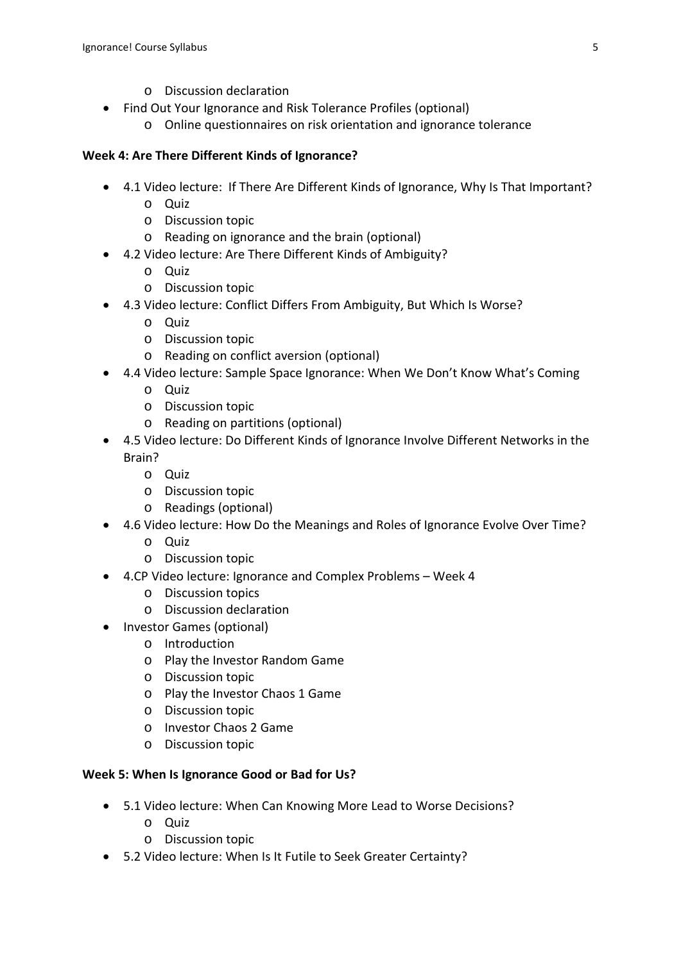- o Discussion declaration
- Find Out Your Ignorance and Risk Tolerance Profiles (optional)
	- o Online questionnaires on risk orientation and ignorance tolerance

## **Week 4: Are There Different Kinds of Ignorance?**

- 4.1 Video lecture: If There Are Different Kinds of Ignorance, Why Is That Important?
	- o Quiz
	- o Discussion topic
	- o Reading on ignorance and the brain (optional)
- 4.2 Video lecture: Are There Different Kinds of Ambiguity?
	- o Quiz
	- o Discussion topic
- 4.3 Video lecture: Conflict Differs From Ambiguity, But Which Is Worse?
	- o Quiz
	- o Discussion topic
	- o Reading on conflict aversion (optional)
- 4.4 Video lecture: Sample Space Ignorance: When We Don't Know What's Coming
	- o Quiz
	- o Discussion topic
	- o Reading on partitions (optional)
- 4.5 Video lecture: Do Different Kinds of Ignorance Involve Different Networks in the Brain?
	- o Quiz
	- o Discussion topic
	- o Readings (optional)
- 4.6 Video lecture: How Do the Meanings and Roles of Ignorance Evolve Over Time?
	- o Quiz
	- o Discussion topic
- 4.CP Video lecture: Ignorance and Complex Problems Week 4
	- o Discussion topics
	- o Discussion declaration
- Investor Games (optional)
	- o Introduction
	- o Play the Investor Random Game
	- o Discussion topic
	- o Play the Investor Chaos 1 Game
	- o Discussion topic
	- o Investor Chaos 2 Game
	- o Discussion topic

## **Week 5: When Is Ignorance Good or Bad for Us?**

- 5.1 Video lecture: When Can Knowing More Lead to Worse Decisions?
	- o Quiz
	- o Discussion topic
- 5.2 Video lecture: When Is It Futile to Seek Greater Certainty?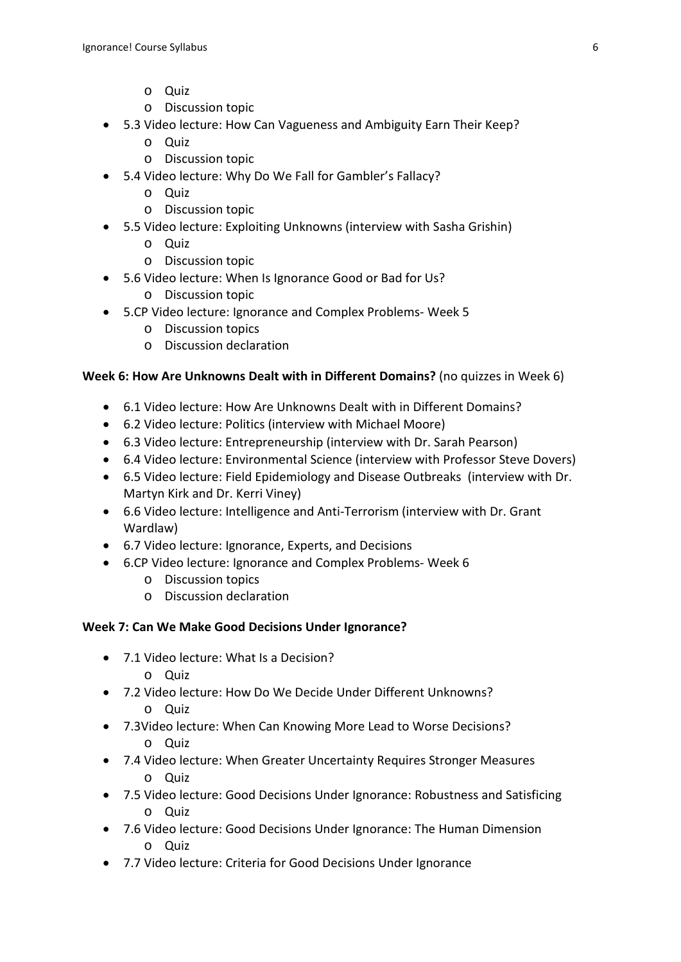- o Quiz
- o Discussion topic
- 5.3 Video lecture: How Can Vagueness and Ambiguity Earn Their Keep?
	- o Quiz
	- o Discussion topic
- 5.4 Video lecture: Why Do We Fall for Gambler's Fallacy?
	- o Quiz
	- o Discussion topic
- 5.5 Video lecture: Exploiting Unknowns (interview with Sasha Grishin)
	- o Quiz
	- o Discussion topic
- 5.6 Video lecture: When Is Ignorance Good or Bad for Us?
	- o Discussion topic
- 5.CP Video lecture: Ignorance and Complex Problems- Week 5
	- o Discussion topics
	- o Discussion declaration

## **Week 6: How Are Unknowns Dealt with in Different Domains?** (no quizzes in Week 6)

- 6.1 Video lecture: How Are Unknowns Dealt with in Different Domains?
- 6.2 Video lecture: Politics (interview with Michael Moore)
- 6.3 Video lecture: Entrepreneurship (interview with Dr. Sarah Pearson)
- 6.4 Video lecture: Environmental Science (interview with Professor Steve Dovers)
- 6.5 Video lecture: Field Epidemiology and Disease Outbreaks (interview with Dr. Martyn Kirk and Dr. Kerri Viney)
- 6.6 Video lecture: Intelligence and Anti-Terrorism (interview with Dr. Grant Wardlaw)
- 6.7 Video lecture: Ignorance, Experts, and Decisions
- 6.CP Video lecture: Ignorance and Complex Problems- Week 6
	- o Discussion topics
	- o Discussion declaration

#### **Week 7: Can We Make Good Decisions Under Ignorance?**

- 7.1 Video lecture: What Is a Decision?
	- o Quiz
- 7.2 Video lecture: How Do We Decide Under Different Unknowns?
	- o Quiz
- 7.3Video lecture: When Can Knowing More Lead to Worse Decisions? o Quiz
- 7.4 Video lecture: When Greater Uncertainty Requires Stronger Measures o Quiz
- 7.5 Video lecture: Good Decisions Under Ignorance: Robustness and Satisficing o Quiz
- 7.6 Video lecture: Good Decisions Under Ignorance: The Human Dimension o Quiz
- 7.7 Video lecture: Criteria for Good Decisions Under Ignorance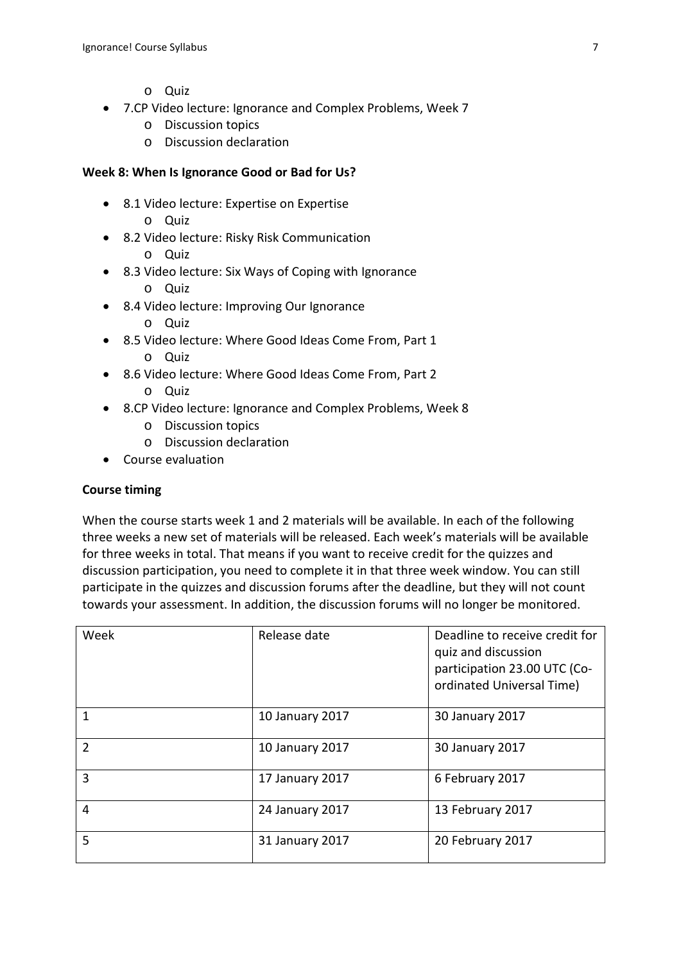- o Quiz
- 7.CP Video lecture: Ignorance and Complex Problems, Week 7
	- o Discussion topics
	- o Discussion declaration

#### **Week 8: When Is Ignorance Good or Bad for Us?**

- 8.1 Video lecture: Expertise on Expertise o Quiz
- 8.2 Video lecture: Risky Risk Communication
	- o Quiz
- 8.3 Video lecture: Six Ways of Coping with Ignorance
	- o Quiz
- 8.4 Video lecture: Improving Our Ignorance
	- o Quiz
- 8.5 Video lecture: Where Good Ideas Come From, Part 1 o Quiz
- 8.6 Video lecture: Where Good Ideas Come From, Part 2
	- o Quiz
- 8.CP Video lecture: Ignorance and Complex Problems, Week 8
	- o Discussion topics
	- o Discussion declaration
- Course evaluation

#### **Course timing**

When the course starts week 1 and 2 materials will be available. In each of the following three weeks a new set of materials will be released. Each week's materials will be available for three weeks in total. That means if you want to receive credit for the quizzes and discussion participation, you need to complete it in that three week window. You can still participate in the quizzes and discussion forums after the deadline, but they will not count towards your assessment. In addition, the discussion forums will no longer be monitored.

| Week           | Release date    | Deadline to receive credit for<br>quiz and discussion<br>participation 23.00 UTC (Co-<br>ordinated Universal Time) |
|----------------|-----------------|--------------------------------------------------------------------------------------------------------------------|
| 1              | 10 January 2017 | 30 January 2017                                                                                                    |
| $\overline{2}$ | 10 January 2017 | 30 January 2017                                                                                                    |
| 3              | 17 January 2017 | 6 February 2017                                                                                                    |
| 4              | 24 January 2017 | 13 February 2017                                                                                                   |
| 5              | 31 January 2017 | 20 February 2017                                                                                                   |